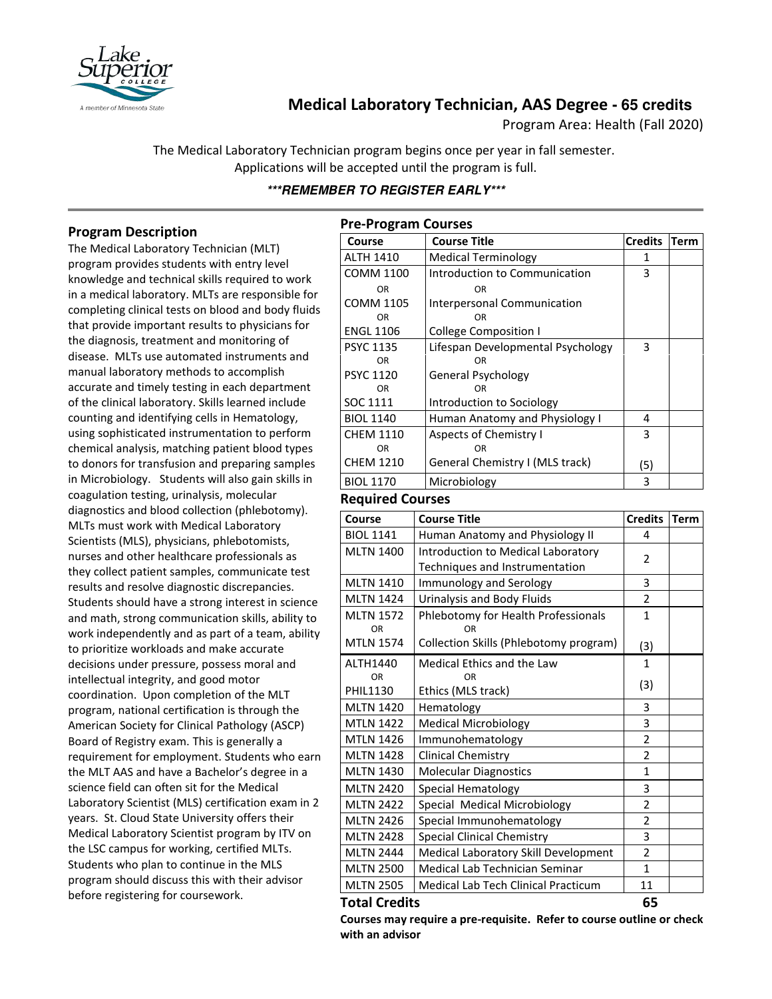

# **Medical Laboratory Technician, AAS Degree - 65 credits**

Program Area: Health (Fall 2020)

The Medical Laboratory Technician program begins once per year in fall semester. Applications will be accepted until the program is full.

# **\*\*\*REMEMBER TO REGISTER EARLY\*\*\***

# **Program Description**

The Medical Laboratory Technician (MLT) program provides students with entry level knowledge and technical skills required to work in a medical laboratory. MLTs are responsible for completing clinical tests on blood and body fluids that provide important results to physicians for the diagnosis, treatment and monitoring of disease. MLTs use automated instruments and manual laboratory methods to accomplish accurate and timely testing in each department of the clinical laboratory. Skills learned include counting and identifying cells in Hematology, using sophisticated instrumentation to perform chemical analysis, matching patient blood types to donors for transfusion and preparing samples in Microbiology. Students will also gain skills in coagulation testing, urinalysis, molecular diagnostics and blood collection (phlebotomy). MLTs must work with Medical Laboratory Scientists (MLS), physicians, phlebotomists, nurses and other healthcare professionals as they collect patient samples, communicate test results and resolve diagnostic discrepancies. Students should have a strong interest in science and math, strong communication skills, ability to work independently and as part of a team, ability to prioritize workloads and make accurate decisions under pressure, possess moral and intellectual integrity, and good motor coordination. Upon completion of the MLT program, national certification is through the American Society for Clinical Pathology (ASCP) Board of Registry exam. This is generally a requirement for employment. Students who earn the MLT AAS and have a Bachelor's degree in a science field can often sit for the Medical Laboratory Scientist (MLS) certification exam in 2 years. St. Cloud State University offers their Medical Laboratory Scientist program by ITV on the LSC campus for working, certified MLTs. Students who plan to continue in the MLS program should discuss this with their advisor before registering for coursework.

| <b>Pre-Program Courses</b> |                                   |                |             |  |  |
|----------------------------|-----------------------------------|----------------|-------------|--|--|
| Course                     | <b>Course Title</b>               | <b>Credits</b> | <b>Term</b> |  |  |
| <b>ALTH 1410</b>           | <b>Medical Terminology</b>        | 1              |             |  |  |
| COMM 1100                  | Introduction to Communication     | 3              |             |  |  |
| OR                         | OR                                |                |             |  |  |
| <b>COMM 1105</b>           | Interpersonal Communication       |                |             |  |  |
| OR.                        | OR                                |                |             |  |  |
| <b>ENGL 1106</b>           | College Composition I             |                |             |  |  |
| <b>PSYC 1135</b>           | Lifespan Developmental Psychology | 3              |             |  |  |
| ΩR                         | OR                                |                |             |  |  |
| <b>PSYC 1120</b>           | General Psychology                |                |             |  |  |
| ΩR                         | OR                                |                |             |  |  |
| SOC 1111                   | Introduction to Sociology         |                |             |  |  |
| <b>BIOL 1140</b>           | Human Anatomy and Physiology I    | 4              |             |  |  |
| <b>CHFM 1110</b>           | Aspects of Chemistry I            | 3              |             |  |  |
| <b>OR</b>                  | OR                                |                |             |  |  |
| <b>CHEM 1210</b>           | General Chemistry I (MLS track)   | (5)            |             |  |  |
| <b>BIOL 1170</b>           | Microbiology                      | 3              |             |  |  |

#### **Required Courses**

| Course                        | <b>Course Title</b>                              | <b>Credits</b> | <b>Term</b> |
|-------------------------------|--------------------------------------------------|----------------|-------------|
| <b>BIOL 1141</b>              | Human Anatomy and Physiology II                  | 4              |             |
| <b>MLTN 1400</b>              | Introduction to Medical Laboratory               | 2              |             |
|                               | Techniques and Instrumentation                   |                |             |
| <b>MLTN 1410</b>              | Immunology and Serology                          | 3              |             |
| <b>MLTN 1424</b>              | Urinalysis and Body Fluids                       | $\overline{2}$ |             |
| <b>MLTN 1572</b><br><b>OR</b> | Phlebotomy for Health Professionals<br><b>OR</b> | $\mathbf{1}$   |             |
| <b>MTLN 1574</b>              | Collection Skills (Phlebotomy program)           | (3)            |             |
| ALTH1440                      | Medical Ethics and the Law                       | $\mathbf{1}$   |             |
| OR<br>PHIL1130                | OR<br>Ethics (MLS track)                         | (3)            |             |
| <b>MLTN 1420</b>              | Hematology                                       | 3              |             |
| <b>MTLN 1422</b>              | <b>Medical Microbiology</b>                      | 3              |             |
| <b>MTLN 1426</b>              | Immunohematology                                 | $\overline{2}$ |             |
| <b>MLTN 1428</b>              | <b>Clinical Chemistry</b>                        | $\overline{2}$ |             |
| <b>MLTN 1430</b>              | <b>Molecular Diagnostics</b>                     | $\mathbf{1}$   |             |
| <b>MLTN 2420</b>              | Special Hematology                               | 3              |             |
| <b>MLTN 2422</b>              | Special Medical Microbiology                     | $\overline{2}$ |             |
| <b>MLTN 2426</b>              | Special Immunohematology                         | $\overline{2}$ |             |
| <b>MLTN 2428</b>              | <b>Special Clinical Chemistry</b>                | 3              |             |
| <b>MLTN 2444</b>              | Medical Laboratory Skill Development             | $\overline{2}$ |             |
| <b>MLTN 2500</b>              | Medical Lab Technician Seminar                   | $\mathbf{1}$   |             |
| <b>MLTN 2505</b>              | Medical Lab Tech Clinical Practicum              | 11             |             |
| <b>Total Credits</b>          |                                                  |                |             |

**Courses may require a pre-requisite. Refer to course outline or check with an advisor**